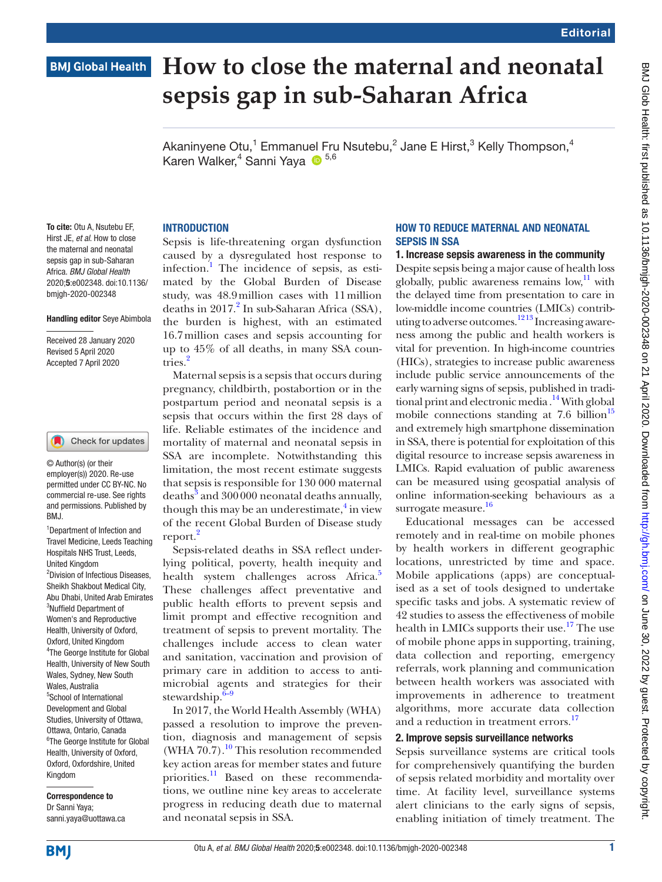# **BMJ Global Health**

# **How to close the maternal and neonatal sepsis gap in sub-Saharan Africa**

Akaninyene Otu,<sup>1</sup> Emmanuel Fru Nsutebu,<sup>2</sup> Jane E Hirst,<sup>3</sup> Kelly Thompson,<sup>4</sup> Karen Walker,<sup>4</sup> Sanni Yaya 1<sup>5,6</sup>

#### **INTRODUCTION**

Hirst JE, *et al*. How to close the maternal and neonatal sepsis gap in sub-Saharan Africa. *BMJ Global Health* 2020;5:e002348. doi:10.1136/ bmjgh-2020-002348

To cite: Otu A, Nsutebu EF,

#### Handling editor Seye Abimbola

Received 28 January 2020 Revised 5 April 2020 Accepted 7 April 2020

#### Check for updates

© Author(s) (or their employer(s)) 2020. Re-use permitted under CC BY-NC. No commercial re-use. See rights and permissions. Published by BMJ.

1 Department of Infection and Travel Medicine, Leeds Teaching Hospitals NHS Trust, Leeds, United Kingdom 2 Division of Infectious Diseases, Sheikh Shakbout Medical City, Abu Dhabi, United Arab Emirates <sup>3</sup>Nuffield Department of Women's and Reproductive Health, University of Oxford, Oxford, United Kingdom 4 The George Institute for Global Health, University of New South Wales, Sydney, New South Wales, Australia 5 School of International Development and Global Studies, University of Ottawa, Ottawa, Ontario, Canada 6 The George Institute for Global Health, University of Oxford, Oxford, Oxfordshire, United Kingdom

Correspondence to Dr Sanni Yaya; sanni.yaya@uottawa.ca

# Sepsis is life-threatening organ dysfunction caused by a dysregulated host response to infection.<sup>1</sup> The incidence of sepsis, as estimated by the Global Burden of Disease study, was 48.9million cases with 11million deaths in  $2017<sup>2</sup>$  $2017<sup>2</sup>$  In sub-Saharan Africa (SSA),

the burden is highest, with an estimated 16.7million cases and sepsis accounting for up to 45% of all deaths, in many SSA countries.[2](#page-3-1)

Maternal sepsis is a sepsis that occurs during pregnancy, childbirth, postabortion or in the postpartum period and neonatal sepsis is a sepsis that occurs within the first 28 days of life. Reliable estimates of the incidence and mortality of maternal and neonatal sepsis in SSA are incomplete. Notwithstanding this limitation, the most recent estimate suggests that sepsis is responsible for 130 000 maternal deaths $^{\bar{3}}$  $^{\bar{3}}$  $^{\bar{3}}$  and  $300\,000$  neonatal deaths annually, though this may be an underestimate, $\frac{4}{3}$  $\frac{4}{3}$  $\frac{4}{3}$  in view of the recent Global Burden of Disease study report.<sup>[2](#page-3-1)</sup>

Sepsis-related deaths in SSA reflect underlying political, poverty, health inequity and health system challenges across Africa.<sup>[5](#page-3-4)</sup> These challenges affect preventative and public health efforts to prevent sepsis and limit prompt and effective recognition and treatment of sepsis to prevent mortality. The challenges include access to clean water and sanitation, vaccination and provision of primary care in addition to access to antimicrobial agents and strategies for their stewardship. $6-9$ 

In 2017, the World Health Assembly (WHA) passed a resolution to improve the prevention, diagnosis and management of sepsis (WHA  $70.7$ ).<sup>10</sup> This resolution recommended key action areas for member states and future priorities.<sup>11</sup> Based on these recommendations, we outline nine key areas to accelerate progress in reducing death due to maternal and neonatal sepsis in SSA.

#### How To Reduce MatERNAL And Neonatal Sepsis In SSA

#### 1. Increase sepsis awareness in the community

Despite sepsis being a major cause of health loss globally, public awareness remains low, $\frac{11}{11}$  $\frac{11}{11}$  $\frac{11}{11}$  with the delayed time from presentation to care in low-middle income countries (LMICs) contributing to adverse outcomes. $1213$  Increasing awareness among the public and health workers is vital for prevention. In high-income countries (HICs), strategies to increase public awareness include public service announcements of the early warning signs of sepsis, published in traditional print and electronic media  $\cdot^{14}$  $\cdot^{14}$  $\cdot^{14}$  With global mobile connections standing at  $7.6$  billion<sup>15</sup> and extremely high smartphone dissemination in SSA, there is potential for exploitation of this digital resource to increase sepsis awareness in LMICs. Rapid evaluation of public awareness can be measured using geospatial analysis of online information-seeking behaviours as a surrogate measure.<sup>[16](#page-3-11)</sup>

Educational messages can be accessed remotely and in real-time on mobile phones by health workers in different geographic locations, unrestricted by time and space. Mobile applications (apps) are conceptualised as a set of tools designed to undertake specific tasks and jobs. A systematic review of 42 studies to assess the effectiveness of mobile health in LMICs supports their use.<sup>[17](#page-3-12)</sup> The use of mobile phone apps in supporting, training, data collection and reporting, emergency referrals, work planning and communication between health workers was associated with improvements in adherence to treatment algorithms, more accurate data collection and a reduction in treatment errors.<sup>[17](#page-3-12)</sup>

#### 2. Improve sepsis surveillance networks

Sepsis surveillance systems are critical tools for comprehensively quantifying the burden of sepsis related morbidity and mortality over time. At facility level, surveillance systems alert clinicians to the early signs of sepsis, enabling initiation of timely treatment. The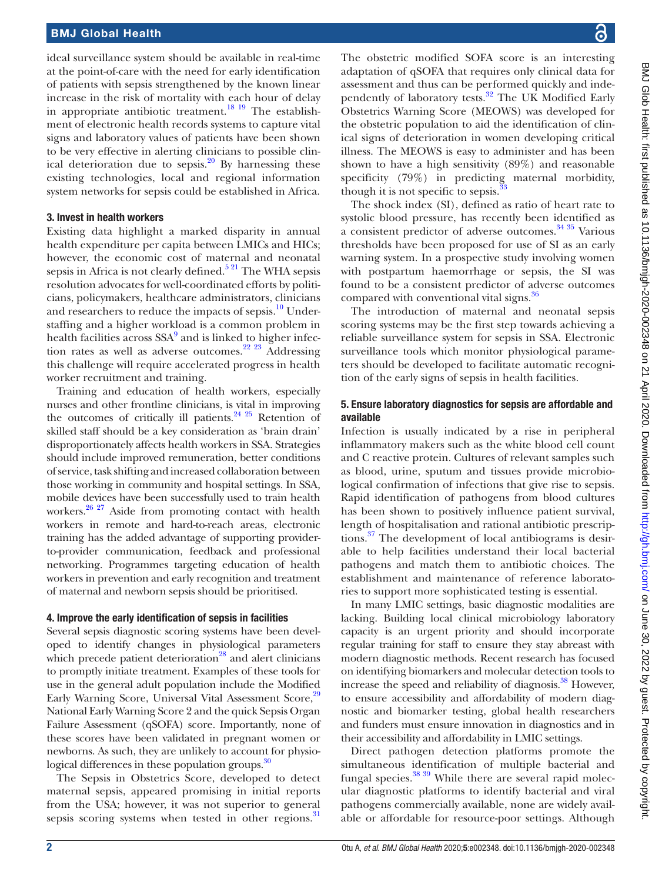ideal surveillance system should be available in real-time at the point-of-care with the need for early identification of patients with sepsis strengthened by the known linear increase in the risk of mortality with each hour of delay in appropriate antibiotic treatment.<sup>18 19</sup> The establishment of electronic health records systems to capture vital signs and laboratory values of patients have been shown to be very effective in alerting clinicians to possible clinical deterioration due to sepsis. $20$  By harnessing these existing technologies, local and regional information system networks for sepsis could be established in Africa.

## 3. Invest in health workers

Existing data highlight a marked disparity in annual health expenditure per capita between LMICs and HICs; however, the economic cost of maternal and neonatal sepsis in Africa is not clearly defined.<sup>5 21</sup> The WHA sepsis resolution advocates for well-coordinated efforts by politicians, policymakers, healthcare administrators, clinicians and researchers to reduce the impacts of sepsis.<sup>[10](#page-3-6)</sup> Understaffing and a higher workload is a common problem in health facilities across SSA<sup>[9](#page-3-15)</sup> and is linked to higher infec-tion rates as well as adverse outcomes.<sup>[22 23](#page-3-16)</sup> Addressing this challenge will require accelerated progress in health worker recruitment and training.

Training and education of health workers, especially nurses and other frontline clinicians, is vital in improving the outcomes of critically ill patients.<sup>24 25</sup> Retention of skilled staff should be a key consideration as 'brain drain' disproportionately affects health workers in SSA. Strategies should include improved remuneration, better conditions of service, task shifting and increased collaboration between those working in community and hospital settings. In SSA, mobile devices have been successfully used to train health workers. $26 \times 27$  Aside from promoting contact with health workers in remote and hard-to-reach areas, electronic training has the added advantage of supporting providerto-provider communication, feedback and professional networking. Programmes targeting education of health workers in prevention and early recognition and treatment of maternal and newborn sepsis should be prioritised.

# 4. Improve the early identification of sepsis in facilities

Several sepsis diagnostic scoring systems have been developed to identify changes in physiological parameters which precede patient deterioration $^{28}$  and alert clinicians to promptly initiate treatment. Examples of these tools for use in the general adult population include the Modified Early Warning Score, Universal Vital Assessment Score,<sup>[29](#page-3-20)</sup> National Early Warning Score 2 and the quick Sepsis Organ Failure Assessment (qSOFA) score. Importantly, none of these scores have been validated in pregnant women or newborns. As such, they are unlikely to account for physiological differences in these population groups.<sup>30</sup>

The Sepsis in Obstetrics Score, developed to detect maternal sepsis, appeared promising in initial reports from the USA; however, it was not superior to general sepsis scoring systems when tested in other regions.<sup>31</sup>

BMJ Glob Health: first published as 10.1136/bnigh-2020-002348 on 21 April 2020. Downloaded from http://gh.bmj.com/ on June 30, 2022 by guest. Protected by copyright BMJ Glob Health: first published as 10.1136/bmjgh-2020-002348 on 21 April 2020. Downloaded from <http://gh.bmj.com/> on June 30, 2022 by guest. Protected by copyright

The obstetric modified SOFA score is an interesting adaptation of qSOFA that requires only clinical data for assessment and thus can be performed quickly and independently of laboratory tests.<sup>32</sup> The UK Modified Early Obstetrics Warning Score (MEOWS) was developed for the obstetric population to aid the identification of clinical signs of deterioration in women developing critical illness. The MEOWS is easy to administer and has been shown to have a high sensitivity (89%) and reasonable specificity (79%) in predicting maternal morbidity, though it is not specific to sepsis. $33$ 

The shock index (SI), defined as ratio of heart rate to systolic blood pressure, has recently been identified as a consistent predictor of adverse outcomes. $3435$  Various thresholds have been proposed for use of SI as an early warning system. In a prospective study involving women with postpartum haemorrhage or sepsis, the SI was found to be a consistent predictor of adverse outcomes compared with conventional vital signs.<sup>36</sup>

The introduction of maternal and neonatal sepsis scoring systems may be the first step towards achieving a reliable surveillance system for sepsis in SSA. Electronic surveillance tools which monitor physiological parameters should be developed to facilitate automatic recognition of the early signs of sepsis in health facilities.

#### 5. Ensure laboratory diagnostics for sepsis are affordable and available

Infection is usually indicated by a rise in peripheral inflammatory makers such as the white blood cell count and C reactive protein. Cultures of relevant samples such as blood, urine, sputum and tissues provide microbiological confirmation of infections that give rise to sepsis. Rapid identification of pathogens from blood cultures has been shown to positively influence patient survival, length of hospitalisation and rational antibiotic prescriptions.<sup>37</sup> The development of local antibiograms is desirable to help facilities understand their local bacterial pathogens and match them to antibiotic choices. The establishment and maintenance of reference laboratories to support more sophisticated testing is essential.

In many LMIC settings, basic diagnostic modalities are lacking. Building local clinical microbiology laboratory capacity is an urgent priority and should incorporate regular training for staff to ensure they stay abreast with modern diagnostic methods. Recent research has focused on identifying biomarkers and molecular detection tools to increase the speed and reliability of diagnosis.<sup>38</sup> However, to ensure accessibility and affordability of modern diagnostic and biomarker testing, global health researchers and funders must ensure innovation in diagnostics and in their accessibility and affordability in LMIC settings.

Direct pathogen detection platforms promote the simultaneous identification of multiple bacterial and fungal species. $38\frac{39}{9}$  While there are several rapid molecular diagnostic platforms to identify bacterial and viral pathogens commercially available, none are widely available or affordable for resource-poor settings. Although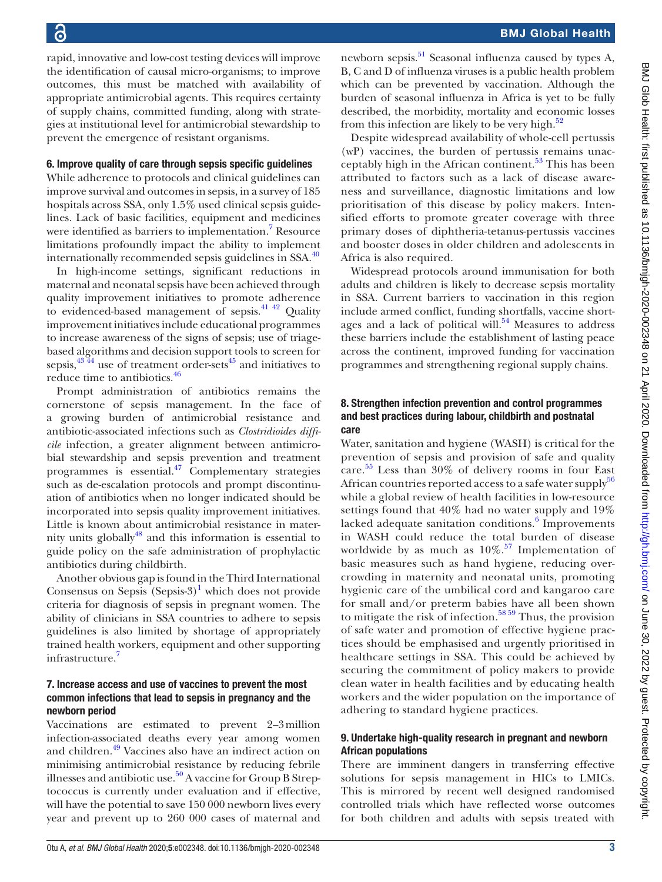BMJ Global Health

rapid, innovative and low-cost testing devices will improve the identification of causal micro-organisms; to improve outcomes, this must be matched with availability of appropriate antimicrobial agents. This requires certainty of supply chains, committed funding, along with strategies at institutional level for antimicrobial stewardship to prevent the emergence of resistant organisms.

#### 6. Improve quality of care through sepsis specific guidelines

While adherence to protocols and clinical guidelines can improve survival and outcomes in sepsis, in a survey of 185 hospitals across SSA, only 1.5% used clinical sepsis guidelines. Lack of basic facilities, equipment and medicines were identified as barriers to implementation.<sup>[7](#page-3-21)</sup> Resource limitations profoundly impact the ability to implement internationally recommended sepsis guidelines in  $SSA$ .<sup>[40](#page-4-8)</sup>

In high-income settings, significant reductions in maternal and neonatal sepsis have been achieved through quality improvement initiatives to promote adherence to evidenced-based management of sepsis.<sup>41 42</sup> Quality improvement initiatives include educational programmes to increase awareness of the signs of sepsis; use of triagebased algorithms and decision support tools to screen for sepsis, $43\frac{43}{44}$  use of treatment order-sets<sup>45</sup> and initiatives to reduce time to antibiotics.<sup>46</sup>

Prompt administration of antibiotics remains the cornerstone of sepsis management. In the face of a growing burden of antimicrobial resistance and antibiotic-associated infections such as *Clostridioides difficile* infection, a greater alignment between antimicrobial stewardship and sepsis prevention and treatment programmes is essential.[47](#page-4-13) Complementary strategies such as de-escalation protocols and prompt discontinuation of antibiotics when no longer indicated should be incorporated into sepsis quality improvement initiatives. Little is known about antimicrobial resistance in maternity units globally $48$  and this information is essential to guide policy on the safe administration of prophylactic antibiotics during childbirth.

Another obvious gap is found in the Third International Consensus on Sepsis  $(Sepsis-3)^1$  $(Sepsis-3)^1$  which does not provide criteria for diagnosis of sepsis in pregnant women. The ability of clinicians in SSA countries to adhere to sepsis guidelines is also limited by shortage of appropriately trained health workers, equipment and other supporting infrastructure.<sup>[7](#page-3-21)</sup>

### 7. Increase access and use of vaccines to prevent the most common infections that lead to sepsis in pregnancy and the newborn period

Vaccinations are estimated to prevent 2–3million infection-associated deaths every year among women and children[.49](#page-4-15) Vaccines also have an indirect action on minimising antimicrobial resistance by reducing febrile illnesses and antibiotic use.<sup>50</sup> A vaccine for Group B Streptococcus is currently under evaluation and if effective, will have the potential to save 150 000 newborn lives every year and prevent up to 260 000 cases of maternal and

newborn sepsis.<sup>51</sup> Seasonal influenza caused by types A, B, C and D of influenza viruses is a public health problem which can be prevented by vaccination. Although the burden of seasonal influenza in Africa is yet to be fully described, the morbidity, mortality and economic losses from this infection are likely to be very high. $52$ 

Despite widespread availability of whole-cell pertussis (wP) vaccines, the burden of pertussis remains unacceptably high in the African continent.<sup>53</sup> This has been attributed to factors such as a lack of disease awareness and surveillance, diagnostic limitations and low prioritisation of this disease by policy makers. Intensified efforts to promote greater coverage with three primary doses of diphtheria-tetanus-pertussis vaccines and booster doses in older children and adolescents in Africa is also required.

Widespread protocols around immunisation for both adults and children is likely to decrease sepsis mortality in SSA. Current barriers to vaccination in this region include armed conflict, funding shortfalls, vaccine shortages and a lack of political will. $54$  Measures to address these barriers include the establishment of lasting peace across the continent, improved funding for vaccination programmes and strengthening regional supply chains.

### 8. Strengthen infection prevention and control programmes and best practices during labour, childbirth and postnatal care

Water, sanitation and hygiene (WASH) is critical for the prevention of sepsis and provision of safe and quality care. [55](#page-4-21) Less than 30% of delivery rooms in four East African countries reported access to a safe water supply<sup>[56](#page-4-22)</sup> while a global review of health facilities in low-resource settings found that 40% had no water supply and 19% lacked adequate sanitation conditions.<sup>[6](#page-3-5)</sup> Improvements in WASH could reduce the total burden of disease worldwide by as much as  $10\%$ .<sup>[57](#page-4-23)</sup> Implementation of basic measures such as hand hygiene, reducing overcrowding in maternity and neonatal units, promoting hygienic care of the umbilical cord and kangaroo care for small and/or preterm babies have all been shown to mitigate the risk of infection.<sup>[58 59](#page-4-24)</sup> Thus, the provision of safe water and promotion of effective hygiene practices should be emphasised and urgently prioritised in healthcare settings in SSA. This could be achieved by securing the commitment of policy makers to provide clean water in health facilities and by educating health workers and the wider population on the importance of adhering to standard hygiene practices.

#### 9. Undertake high-quality research in pregnant and newborn African populations

There are imminent dangers in transferring effective solutions for sepsis management in HICs to LMICs. This is mirrored by recent well designed randomised controlled trials which have reflected worse outcomes for both children and adults with sepsis treated with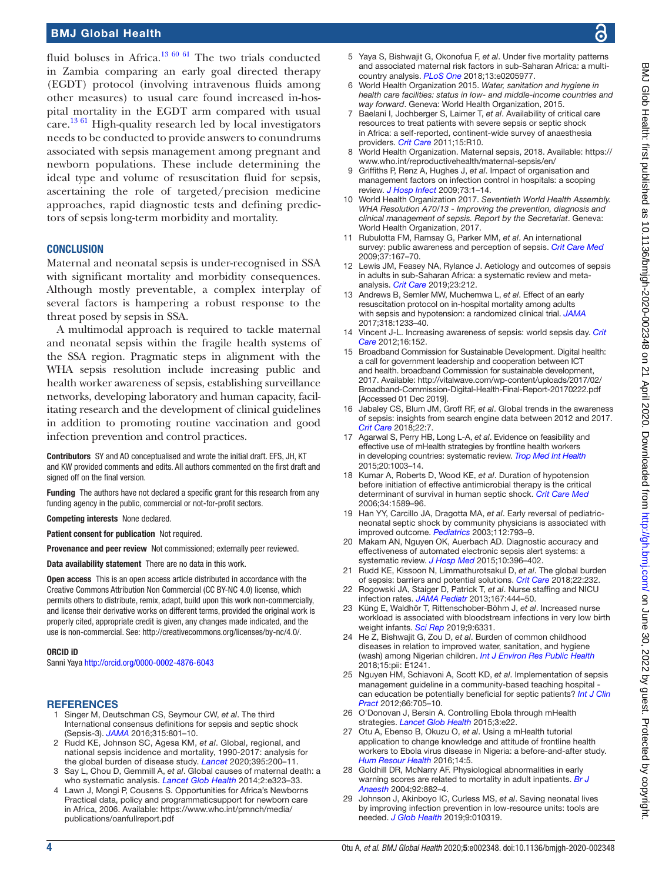# BMJ Global Health

fluid boluses in Africa.<sup>[13 60 61](#page-3-22)</sup> The two trials conducted in Zambia comparing an early goal directed therapy (EGDT) protocol (involving intravenous fluids among other measures) to usual care found increased in-hospital mortality in the EGDT arm compared with usual care.<sup>[13 61](#page-3-22)</sup> High-quality research led by local investigators needs to be conducted to provide answers to conundrums associated with sepsis management among pregnant and newborn populations. These include determining the ideal type and volume of resuscitation fluid for sepsis, ascertaining the role of targeted/precision medicine approaches, rapid diagnostic tests and defining predictors of sepsis long-term morbidity and mortality.

#### **CONCLUSION**

Maternal and neonatal sepsis is under-recognised in SSA with significant mortality and morbidity consequences. Although mostly preventable, a complex interplay of several factors is hampering a robust response to the threat posed by sepsis in SSA.

A multimodal approach is required to tackle maternal and neonatal sepsis within the fragile health systems of the SSA region. Pragmatic steps in alignment with the WHA sepsis resolution include increasing public and health worker awareness of sepsis, establishing surveillance networks, developing laboratory and human capacity, facilitating research and the development of clinical guidelines in addition to promoting routine vaccination and good infection prevention and control practices.

Contributors SY and AO conceptualised and wrote the initial draft. EFS, JH, KT and KW provided comments and edits. All authors commented on the first draft and signed off on the final version.

Funding The authors have not declared a specific grant for this research from any funding agency in the public, commercial or not-for-profit sectors.

Competing interests None declared.

Patient consent for publication Not required.

Provenance and peer review Not commissioned; externally peer reviewed.

Data availability statement There are no data in this work.

Open access This is an open access article distributed in accordance with the Creative Commons Attribution Non Commercial (CC BY-NC 4.0) license, which permits others to distribute, remix, adapt, build upon this work non-commercially, and license their derivative works on different terms, provided the original work is properly cited, appropriate credit is given, any changes made indicated, and the use is non-commercial. See: [http://creativecommons.org/licenses/by-nc/4.0/.](http://creativecommons.org/licenses/by-nc/4.0/)

#### ORCID iD

Sanni Yaya<http://orcid.org/0000-0002-4876-6043>

#### <span id="page-3-0"></span>**REFERENCES**

- 1 Singer M, Deutschman CS, Seymour CW, *et al*. The third International consensus definitions for sepsis and septic shock (Sepsis-3). *[JAMA](http://dx.doi.org/10.1001/jama.2016.0287)* 2016;315:801–10.
- <span id="page-3-1"></span>2 Rudd KE, Johnson SC, Agesa KM, *et al*. Global, regional, and national sepsis incidence and mortality, 1990-2017: analysis for the global burden of disease study. *[Lancet](http://dx.doi.org/10.1016/S0140-6736(19)32989-7)* 2020;395:200–11.
- <span id="page-3-2"></span>3 Say L, Chou D, Gemmill A, *et al*. Global causes of maternal death: a who systematic analysis. *[Lancet Glob Health](http://dx.doi.org/10.1016/S2214-109X(14)70227-X)* 2014;2:e323–33.
- <span id="page-3-3"></span>4 Lawn J, Mongi P, Cousens S. Opportunities for Africa's Newborns Practical data, policy and programmaticsupport for newborn care in Africa, 2006. Available: [https://www.who.int/pmnch/media/](https://www.who.int/pmnch/media/publications/oanfullreport.pdf) [publications/oanfullreport.pdf](https://www.who.int/pmnch/media/publications/oanfullreport.pdf)
- <span id="page-3-4"></span>5 Yaya S, Bishwajit G, Okonofua F, *et al*. Under five mortality patterns and associated maternal risk factors in sub-Saharan Africa: a multicountry analysis. *[PLoS One](http://dx.doi.org/10.1371/journal.pone.0205977)* 2018;13:e0205977.
- <span id="page-3-5"></span>6 World Health Organization 2015. *Water, sanitation and hygiene in health care facilities: status in low- and middle-income countries and way forward*. Geneva: World Health Organization, 2015.
- <span id="page-3-21"></span>7 Baelani I, Jochberger S, Laimer T, *et al*. Availability of critical care resources to treat patients with severe sepsis or septic shock in Africa: a self-reported, continent-wide survey of anaesthesia providers. *[Crit Care](http://dx.doi.org/10.1186/cc9410)* 2011;15:R10.
- 8 World Health Organization. Maternal sepsis, 2018. Available: [https://](https://www.who.int/reproductivehealth/maternal-sepsis/en/) [www.who.int/reproductivehealth/maternal-sepsis/en/](https://www.who.int/reproductivehealth/maternal-sepsis/en/)
- <span id="page-3-15"></span>9 Griffiths P, Renz A, Hughes J, *et al*. Impact of organisation and management factors on infection control in hospitals: a scoping review. *[J Hosp Infect](http://dx.doi.org/10.1016/j.jhin.2009.05.003)* 2009;73:1–14.
- <span id="page-3-6"></span>10 World Health Organization 2017. *Seventieth World Health Assembly. WHA Resolution A70/13 - Improving the prevention, diagnosis and clinical management of sepsis. Report by the Secretariat*. Geneva: World Health Organization, 2017.
- <span id="page-3-7"></span>11 Rubulotta FM, Ramsay G, Parker MM, *et al*. An international survey: public awareness and perception of sepsis. *[Crit Care Med](http://dx.doi.org/10.1097/CCM.0b013e3181926883)* 2009;37:167–70.
- <span id="page-3-8"></span>12 Lewis JM, Feasey NA, Rylance J. Aetiology and outcomes of sepsis in adults in sub-Saharan Africa: a systematic review and metaanalysis. *[Crit Care](http://dx.doi.org/10.1186/s13054-019-2501-y)* 2019;23:212.
- <span id="page-3-22"></span>13 Andrews B, Semler MW, Muchemwa L, *et al*. Effect of an early resuscitation protocol on in-hospital mortality among adults with sepsis and hypotension: a randomized clinical trial. *[JAMA](http://dx.doi.org/10.1001/jama.2017.10913)* 2017;318:1233–40.
- <span id="page-3-9"></span>14 Vincent J-L. Increasing awareness of sepsis: world sepsis day. *[Crit](http://dx.doi.org/10.1186/cc11511)  [Care](http://dx.doi.org/10.1186/cc11511)* 2012;16:152.
- <span id="page-3-10"></span>15 Broadband Commission for Sustainable Development. Digital health: a call for government leadership and cooperation between ICT and health. broadband Commission for sustainable development, 2017. Available: [http://vitalwave.com/wp-content/uploads/2017/02/](http://vitalwave.com/wp-content/uploads/2017/02/Broadband-Commission-Digital-Health-Final-Report-20170222.pdf) [Broadband-Commission-Digital-Health-Final-Report-20170222.pdf](http://vitalwave.com/wp-content/uploads/2017/02/Broadband-Commission-Digital-Health-Final-Report-20170222.pdf)  [Accessed 01 Dec 2019].
- <span id="page-3-11"></span>16 Jabaley CS, Blum JM, Groff RF, *et al*. Global trends in the awareness of sepsis: insights from search engine data between 2012 and 2017. *[Crit Care](http://dx.doi.org/10.1186/s13054-017-1914-8)* 2018;22:7.
- <span id="page-3-12"></span>17 Agarwal S, Perry HB, Long L-A, *et al*. Evidence on feasibility and effective use of mHealth strategies by frontline health workers in developing countries: systematic review. *[Trop Med Int Health](http://dx.doi.org/10.1111/tmi.12525)* 2015;20:1003–14.
- <span id="page-3-13"></span>18 Kumar A, Roberts D, Wood KE, *et al*. Duration of hypotension before initiation of effective antimicrobial therapy is the critical determinant of survival in human septic shock. *[Crit Care Med](http://dx.doi.org/10.1097/01.CCM.0000217961.75225.E9)* 2006;34:1589–96.
- 19 Han YY, Carcillo JA, Dragotta MA, *et al*. Early reversal of pediatricneonatal septic shock by community physicians is associated with improved outcome. *[Pediatrics](http://dx.doi.org/10.1542/peds.112.4.793)* 2003;112:793–9.
- <span id="page-3-14"></span>20 Makam AN, Nguyen OK, Auerbach AD. Diagnostic accuracy and effectiveness of automated electronic sepsis alert systems: a systematic review. *[J Hosp Med](http://dx.doi.org/10.1002/jhm.2347)* 2015;10:396–402.
- 21 Rudd KE, Kissoon N, Limmathurotsakul D, *et al*. The global burden of sepsis: barriers and potential solutions. *[Crit Care](http://dx.doi.org/10.1186/s13054-018-2157-z)* 2018;22:232.
- <span id="page-3-16"></span>22 Rogowski JA, Staiger D, Patrick T, *et al*. Nurse staffing and NICU infection rates. *[JAMA Pediatr](http://dx.doi.org/10.1001/jamapediatrics.2013.18)* 2013;167:444–50.
- 23 Küng E, Waldhör T, Rittenschober-Böhm J, *et al*. Increased nurse workload is associated with bloodstream infections in very low birth weight infants. *[Sci Rep](http://dx.doi.org/10.1038/s41598-019-42685-x)* 2019;9:6331.
- <span id="page-3-17"></span>24 He Z, Bishwajit G, Zou D, *et al*. Burden of common childhood diseases in relation to improved water, sanitation, and hygiene (wash) among Nigerian children. *[Int J Environ Res Public Health](http://dx.doi.org/10.3390/ijerph15061241)* 2018;15:pii: E1241.
- 25 Nguyen HM, Schiavoni A, Scott KD, *et al*. Implementation of sepsis management guideline in a community-based teaching hospital can education be potentially beneficial for septic patients? *[Int J Clin](http://dx.doi.org/10.1111/j.1742-1241.2012.02939.x)  [Pract](http://dx.doi.org/10.1111/j.1742-1241.2012.02939.x)* 2012;66:705–10.
- <span id="page-3-18"></span>26 O'Donovan J, Bersin A. Controlling Ebola through mHealth strategies. *[Lancet Glob Health](http://dx.doi.org/10.1016/S2214-109X(14)70357-2)* 2015;3:e22.
- 27 Otu A, Ebenso B, Okuzu O, *et al*. Using a mHealth tutorial application to change knowledge and attitude of frontline health workers to Ebola virus disease in Nigeria: a before-and-after study. *[Hum Resour Health](http://dx.doi.org/10.1186/s12960-016-0100-4)* 2016;14:5.
- <span id="page-3-19"></span>28 Goldhill DR, McNarry AF. Physiological abnormalities in early warning scores are related to mortality in adult inpatients. *[Br J](http://dx.doi.org/10.1093/bja/aeh113)  [Anaesth](http://dx.doi.org/10.1093/bja/aeh113)* 2004;92:882–4.
- <span id="page-3-20"></span>29 Johnson J, Akinboyo IC, Curless MS, *et al*. Saving neonatal lives by improving infection prevention in low-resource units: tools are needed. *[J Glob Health](http://dx.doi.org/10.7189/jogh.09.010319)* 2019;9:010319.